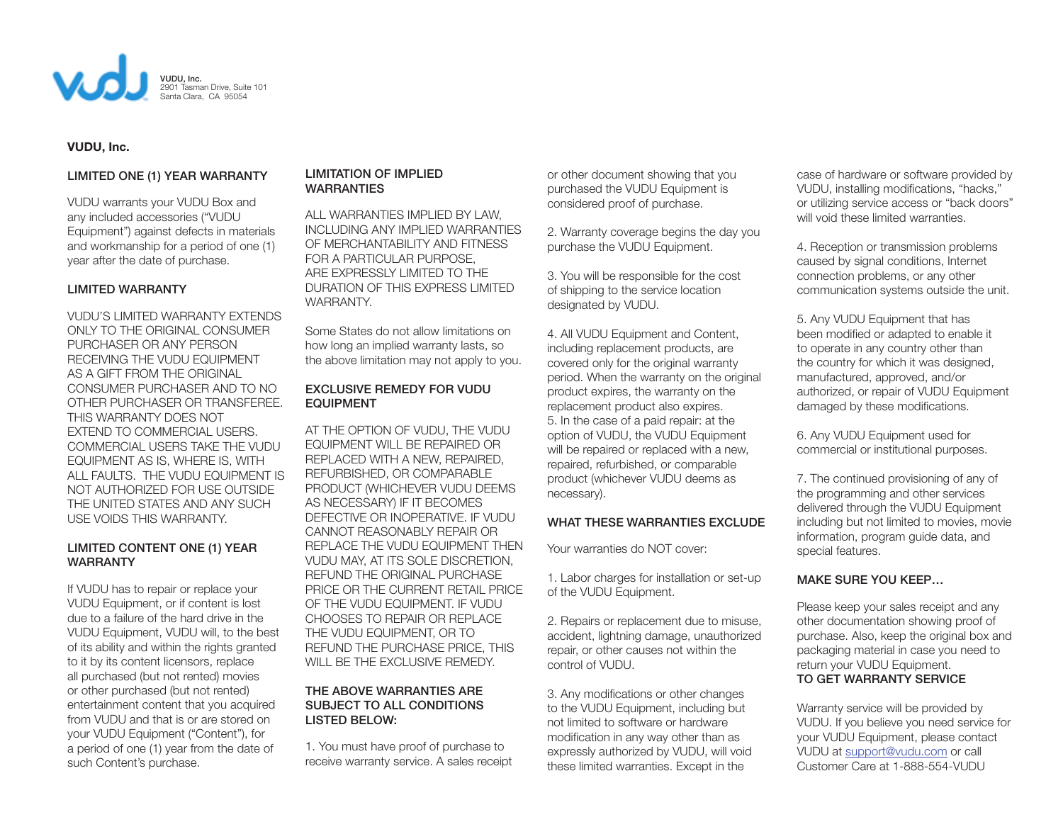

# **VUDU, Inc.**

# LIMITED ONE (1) YEAR WARRANTY

VUDU warrants your VUDU Box and any included accessories ("VUDU Equipment") against defects in materials and workmanship for a period of one (1) year after the date of purchase.

# LIMITED WARRANTY

VUDU'S LIMITED WARRANTY EXTENDS ONLY TO THE ORIGINAL CONSUMER PURCHASER OR ANY PERSON RECEIVING THE VUDU EQUIPMENT AS A GIFT FROM THE ORIGINAL CONSUMER PURCHASER AND TO NO OTHER PURCHASER OR TRANSFEREE. THIS WARRANTY DOES NOT EXTEND TO COMMERCIAL USERS. COMMERCIAL USERS TAKE THE VUDU EQUIPMENT AS IS, WHERE IS, WITH ALL FAULTS. THE VUDU EQUIPMENT IS NOT AUTHORIZED FOR USE OUTSIDE THE UNITED STATES AND ANY SUCH USE VOIDS THIS WARRANTY.

## LIMITED CONTENT ONE (1) YEAR WARRANTY

If VUDU has to repair or replace your VUDU Equipment, or if content is lost due to a failure of the hard drive in the VUDU Equipment, VUDU will, to the best of its ability and within the rights granted to it by its content licensors, replace all purchased (but not rented) movies or other purchased (but not rented) entertainment content that you acquired from VUDU and that is or are stored on your VUDU Equipment ("Content"), for a period of one (1) year from the date of such Content's purchase.

## LIMITATION OF IMPLIED WARRANTIES

ALL WARRANTIES IMPLIED BY LAW, INCLUDING ANY IMPLIED WARRANTIES OF MERCHANTABILITY AND FITNESS FOR A PARTICULAR PURPOSE, ARE EXPRESSLY LIMITED TO THE DURATION OF THIS EXPRESS LIMITED WARRANTY.

Some States do not allow limitations on how long an implied warranty lasts, so the above limitation may not apply to you.

# EXCLUSIVE REMEDY FOR VUDU EQUIPMENT

AT THE OPTION OF VUDU, THE VUDU EQUIPMENT WILL BE REPAIRED OR REPLACED WITH A NEW, REPAIRED, REFURBISHED, OR COMPARABLE PRODUCT (WHICHEVER VUDU DEEMS AS NECESSARY) IF IT BECOMES DEFECTIVE OR INOPERATIVE. IF VUDU CANNOT REASONABLY REPAIR OR REPLACE THE VUDU EQUIPMENT THEN VUDU MAY, AT ITS SOLE DISCRETION, REFUND THE ORIGINAL PURCHASE PRICE OR THE CURRENT RETAIL PRICE OF THE VUDU EQUIPMENT. IF VUDU CHOOSES TO REPAIR OR REPLACE THE VUDU EQUIPMENT, OR TO REFUND THE PURCHASE PRICE, THIS WILL BE THE EXCLUSIVE REMEDY.

# THE ABOVE WARRANTIES ARE SUBJECT TO ALL CONDITIONS LISTED BELOW:

1. You must have proof of purchase to receive warranty service. A sales receipt

or other document showing that you purchased the VUDU Equipment is considered proof of purchase.

2. Warranty coverage begins the day you purchase the VUDU Equipment.

3. You will be responsible for the cost of shipping to the service location designated by VUDU.

4. All VUDU Equipment and Content, including replacement products, are covered only for the original warranty period. When the warranty on the original product expires, the warranty on the replacement product also expires. 5. In the case of a paid repair: at the option of VUDU, the VUDU Equipment will be repaired or replaced with a new, repaired, refurbished, or comparable product (whichever VUDU deems as necessary).

# WHAT THESE WARRANTIES EXCLUDE

Your warranties do NOT cover:

1. Labor charges for installation or set-up of the VUDU Equipment.

2. Repairs or replacement due to misuse, accident, lightning damage, unauthorized repair, or other causes not within the control of VUDU.

3. Any modifications or other changes to the VUDU Equipment, including but not limited to software or hardware modification in any way other than as expressly authorized by VUDU, will void these limited warranties. Except in the

case of hardware or software provided by VUDU, installing modifications, "hacks," or utilizing service access or "back doors" will void these limited warranties.

4. Reception or transmission problems caused by signal conditions, Internet connection problems, or any other communication systems outside the unit.

5. Any VUDU Equipment that has been modified or adapted to enable it to operate in any country other than the country for which it was designed, manufactured, approved, and/or authorized, or repair of VUDU Equipment damaged by these modifications.

6. Any VUDU Equipment used for commercial or institutional purposes.

7. The continued provisioning of any of the programming and other services delivered through the VUDU Equipment including but not limited to movies, movie information, program guide data, and special features.

# MAKE SURE YOU KEEP…

Please keep your sales receipt and any other documentation showing proof of purchase. Also, keep the original box and packaging material in case you need to return your VUDU Equipment. TO GET WARRANTY SERVICE

Warranty service will be provided by VUDU. If you believe you need service for your VUDU Equipment, please contact VUDU at support@vudu.com or call Customer Care at 1-888-554-VUDU